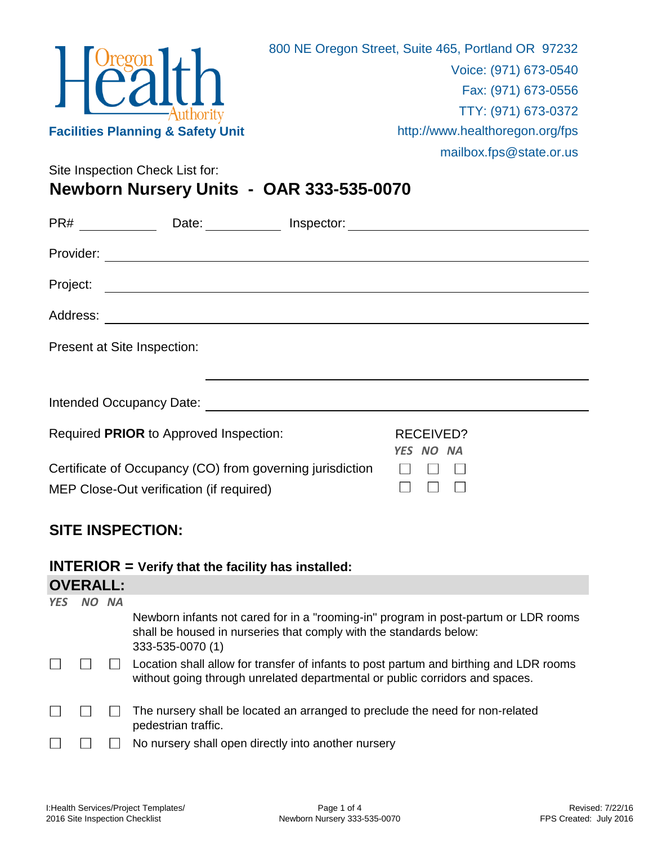|                                              | 800 NE Oregon Street, Suite 465, Portland OR 97232 |
|----------------------------------------------|----------------------------------------------------|
|                                              | Voice: (971) 673-0540                              |
| $H^{\text{Oregon}}_{\text{Call}}$            | Fax: (971) 673-0556                                |
|                                              | TTY: (971) 673-0372                                |
| <b>Facilities Planning &amp; Safety Unit</b> | http://www.healthoregon.org/fps                    |
|                                              | mailbox.fps@state.or.us                            |
| Site Inspection Check List for:              |                                                    |

**Newborn Nursery Units - OAR 333-535-0070**

| PR#                         | Date:                                                                                                                |                        |  |
|-----------------------------|----------------------------------------------------------------------------------------------------------------------|------------------------|--|
|                             |                                                                                                                      |                        |  |
| Project:                    | <u> 1989 - Johann John Stone, markin sanat a shekara ta 1989 - An tsarat a shekara ta 1989 - An tsarat a shekara</u> |                        |  |
|                             |                                                                                                                      |                        |  |
| Present at Site Inspection: |                                                                                                                      |                        |  |
|                             |                                                                                                                      |                        |  |
|                             | Required PRIOR to Approved Inspection:                                                                               | RECEIVED?<br>YES NO NA |  |
|                             | Certificate of Occupancy (CO) from governing jurisdiction<br>MEP Close-Out verification (if required)                |                        |  |

# **SITE INSPECTION:**

## **INTERIOR = Verify that the facility has installed:**

| <b>YES</b> | <b>NA</b> |                                                                                                                                                                               |
|------------|-----------|-------------------------------------------------------------------------------------------------------------------------------------------------------------------------------|
|            |           | Newborn infants not cared for in a "rooming-in" program in post-partum or LDR rooms<br>shall be housed in nurseries that comply with the standards below:<br>333-535-0070 (1) |
|            |           | Location shall allow for transfer of infants to post partum and birthing and LDR rooms<br>without going through unrelated departmental or public corridors and spaces.        |
|            |           | The nursery shall be located an arranged to preclude the need for non-related<br>pedestrian traffic.                                                                          |
|            |           | No nursery shall open directly into another nursery                                                                                                                           |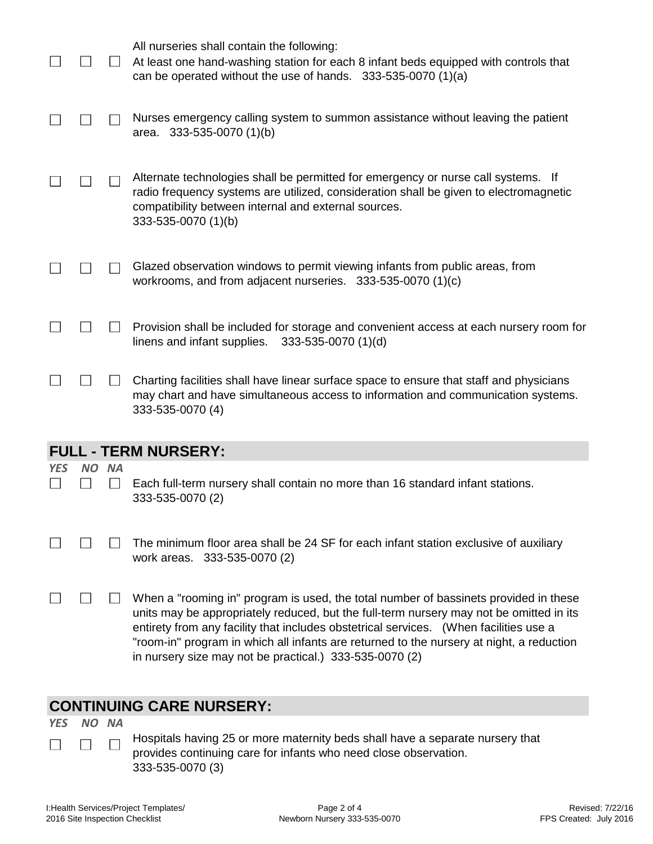|            |     |           | All nurseries shall contain the following:<br>At least one hand-washing station for each 8 infant beds equipped with controls that<br>can be operated without the use of hands. $333-535-0070$ (1)(a)                                                                                                                                                                                                                           |
|------------|-----|-----------|---------------------------------------------------------------------------------------------------------------------------------------------------------------------------------------------------------------------------------------------------------------------------------------------------------------------------------------------------------------------------------------------------------------------------------|
|            |     |           | Nurses emergency calling system to summon assistance without leaving the patient<br>area. 333-535-0070 (1)(b)                                                                                                                                                                                                                                                                                                                   |
|            |     |           | Alternate technologies shall be permitted for emergency or nurse call systems. If<br>radio frequency systems are utilized, consideration shall be given to electromagnetic<br>compatibility between internal and external sources.<br>333-535-0070 (1)(b)                                                                                                                                                                       |
|            |     |           | Glazed observation windows to permit viewing infants from public areas, from<br>workrooms, and from adjacent nurseries. $333-535-0070$ (1)(c)                                                                                                                                                                                                                                                                                   |
|            |     |           | Provision shall be included for storage and convenient access at each nursery room for<br>linens and infant supplies.<br>333-535-0070 (1)(d)                                                                                                                                                                                                                                                                                    |
|            |     |           | Charting facilities shall have linear surface space to ensure that staff and physicians<br>may chart and have simultaneous access to information and communication systems.<br>333-535-0070 (4)                                                                                                                                                                                                                                 |
|            |     |           | <b>FULL - TERM NURSERY:</b>                                                                                                                                                                                                                                                                                                                                                                                                     |
| <b>YES</b> | NO. | <b>NA</b> |                                                                                                                                                                                                                                                                                                                                                                                                                                 |
|            |     |           | Each full-term nursery shall contain no more than 16 standard infant stations.<br>333-535-0070 (2)                                                                                                                                                                                                                                                                                                                              |
|            |     |           | The minimum floor area shall be 24 SF for each infant station exclusive of auxiliary<br>work areas. 333-535-0070 (2)                                                                                                                                                                                                                                                                                                            |
|            |     |           | When a "rooming in" program is used, the total number of bassinets provided in these<br>units may be appropriately reduced, but the full-term nursery may not be omitted in its<br>entirety from any facility that includes obstetrical services. (When facilities use a<br>"room-in" program in which all infants are returned to the nursery at night, a reduction<br>in nursery size may not be practical.) 333-535-0070 (2) |
|            |     |           | CONTINILIING CADE NILIDEEDV.                                                                                                                                                                                                                                                                                                                                                                                                    |

## **CONTINUING CARE NURSERY:**

*YES NO NA*

 $\Box$ П

Hospitals having 25 or more maternity beds shall have a separate nursery that provides continuing care for infants who need close observation. 333-535-0070 (3)

 $\Box$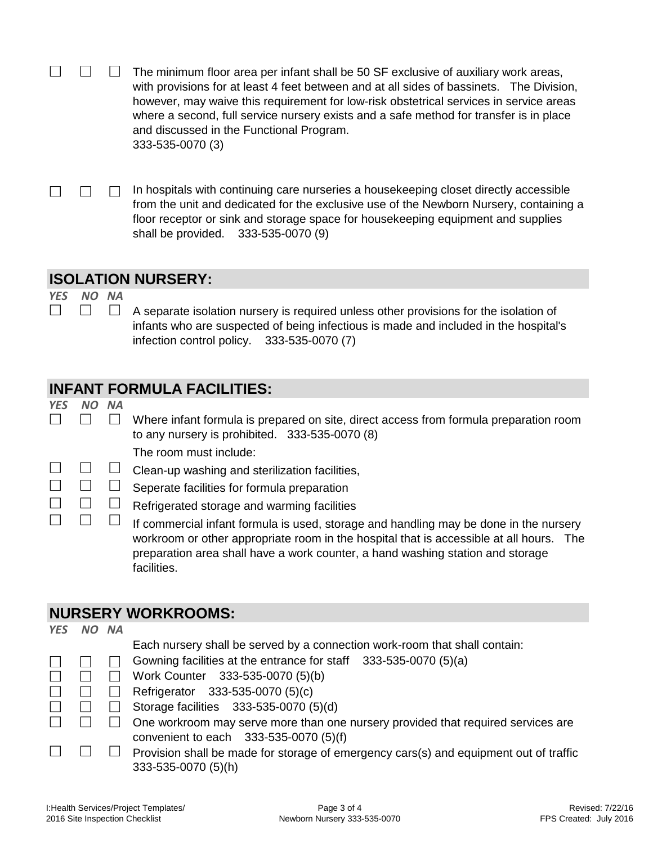|  | $\mathbf{I}$ | The minimum floor area per infant shall be 50 SF exclusive of auxiliary work areas,      |
|--|--------------|------------------------------------------------------------------------------------------|
|  |              | with provisions for at least 4 feet between and at all sides of bassinets. The Division, |
|  |              | however, may waive this requirement for low-risk obstetrical services in service areas   |
|  |              | where a second, full service nursery exists and a safe method for transfer is in place   |
|  |              | and discussed in the Functional Program.                                                 |
|  |              | 333-535-0070 (3)                                                                         |

 $\Box$  In hospitals with continuing care nurseries a house keeping closet directly accessible  $\Box$  $\Box$ from the unit and dedicated for the exclusive use of the Newborn Nursery, containing a floor receptor or sink and storage space for housekeeping equipment and supplies shall be provided. 333-535-0070 (9)

#### **ISOLATION NURSERY:**

*YES NO NA*  $\Box$  $\Box$ 

 $\Box$ A separate isolation nursery is required unless other provisions for the isolation of infants who are suspected of being infectious is made and included in the hospital's infection control policy. 333-535-0070 (7)

## **INFANT FORMULA FACILITIES:**

*YES NO NA*

 $\Box$ 

- $\Box$ Where infant formula is prepared on site, direct access from formula preparation room to any nursery is prohibited. 333-535-0070 (8)
	- The room must include:
- $\Box$  Clean-up washing and sterilization facilities, П  $\Box$
- $\Box$  $\Box$  $\Box$ Seperate facilities for formula preparation
	- Refrigerated storage and warming facilities
		- $\Box$ If commercial infant formula is used, storage and handling may be done in the nursery workroom or other appropriate room in the hospital that is accessible at all hours. The preparation area shall have a work counter, a hand washing station and storage facilities.

### **NURSERY WORKROOMS:**

| <b>YES</b> | NO NA          |                                                                                       |
|------------|----------------|---------------------------------------------------------------------------------------|
|            |                | Each nursery shall be served by a connection work-room that shall contain:            |
|            |                | Gowning facilities at the entrance for staff 333-535-0070 (5)(a)                      |
|            | $\mathbb{R}^n$ | Work Counter 333-535-0070 (5)(b)                                                      |
|            |                | Refrigerator 333-535-0070 (5)(c)                                                      |
|            |                | Storage facilities 333-535-0070 (5)(d)                                                |
|            |                | One workroom may serve more than one nursery provided that required services are      |
|            |                | convenient to each 333-535-0070 (5)(f)                                                |
|            |                | Provision shall be made for storage of emergency cars(s) and equipment out of traffic |
|            |                | 333-535-0070 (5)(h)                                                                   |